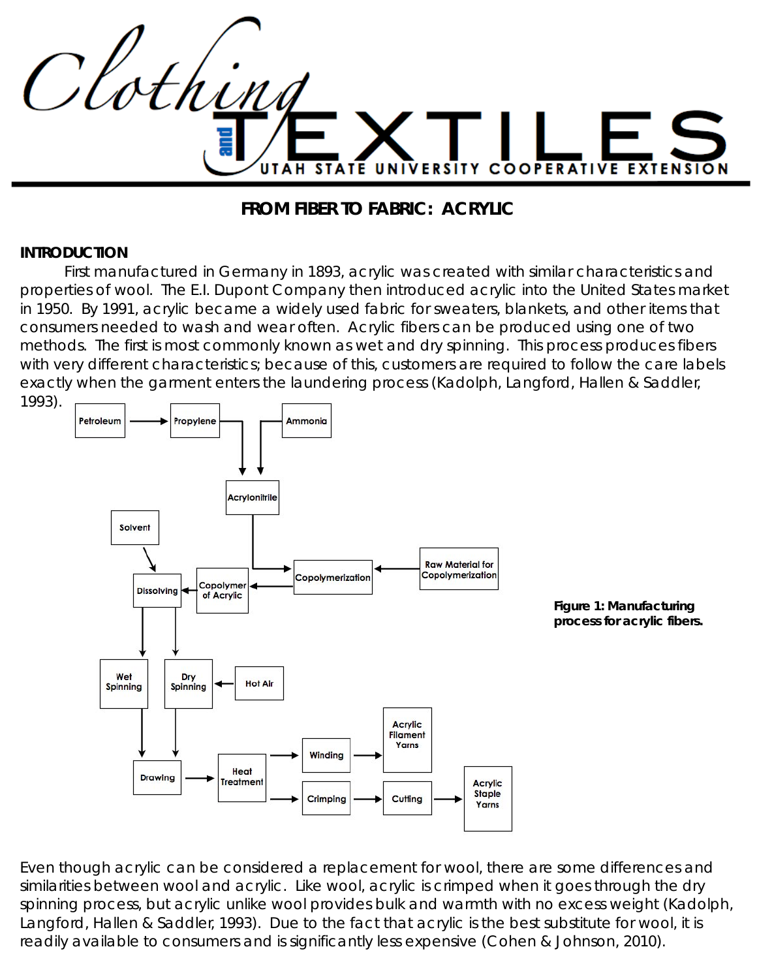

### **FROM FIBER TO FABRIC: ACRYLIC**

#### **INTRODUCTION**

 First manufactured in Germany in 1893, acrylic was created with similar characteristics and properties of wool. The E.I. Dupont Company then introduced acrylic into the United States market in 1950. By 1991, acrylic became a widely used fabric for sweaters, blankets, and other items that consumers needed to wash and wear often. Acrylic fibers can be produced using one of two methods. The first is most commonly known as wet and dry spinning. This process produces fibers with very different characteristics; because of this, customers are required to follow the care labels exactly when the garment enters the laundering process (Kadolph, Langford, Hallen & Saddler, 1993).



Even though acrylic can be considered a replacement for wool, there are some differences and similarities between wool and acrylic. Like wool, acrylic is crimped when it goes through the dry spinning process, but acrylic unlike wool provides bulk and warmth with no excess weight (Kadolph, Langford, Hallen & Saddler, 1993). Due to the fact that acrylic is the best substitute for wool, it is readily available to consumers and is significantly less expensive (Cohen & Johnson, 2010).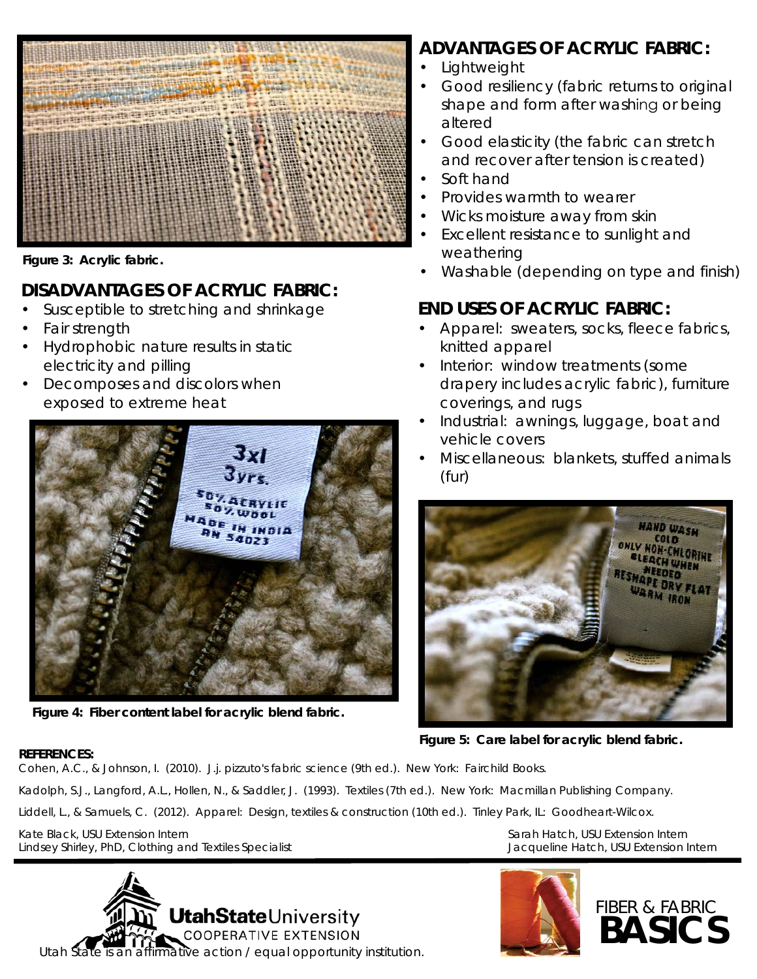

*Figure 3: Acrylic fabric.*

## **DISADVANTAGES OF ACRYLIC FABRIC:**

- Susceptible to stretching and shrinkage
- Fair strength
- Hydrophobic nature results in static electricity and pilling
- Decomposes and discolors when exposed to extreme heat



*Figure 4: Fiber content label for acrylic blend fabric.*

# **ADVANTAGES OF ACRYLIC FABRIC:**

- **Lightweight**
- Good resiliency (fabric returns to original shape and form after washing or being altered
- Good elasticity (the fabric can stretch and recover after tension is created)
- Soft hand
- Provides warmth to wearer
- Wicks moisture away from skin
- Excellent resistance to sunlight and weathering
- Washable (depending on type and finish)

## **END USES OF ACRYLIC FABRIC:**

- Apparel: sweaters, socks, fleece fabrics, knitted apparel
- Interior: window treatments (some drapery includes acrylic fabric), furniture coverings, and rugs
- Industrial: awnings, luggage, boat and vehicle covers
- Miscellaneous: blankets, stuffed animals (fur)



*Figure 5: Care label for acrylic blend fabric.*

### **REFERENCES:**

Cohen, A.C., & Johnson, I. (2010). *J.j. pizzuto's fabric science* (9th ed.). New York: Fairchild Books.

Kadolph, S.J., Langford, A.L., Hollen, N., & Saddler, J. (1993). *Textiles* (7th ed.). New York: Macmillan Publishing Company.

Liddell, L., & Samuels, C. (2012). *Apparel: Design, textiles & construction* (10th ed.). Tinley Park, IL: Goodheart-Wilcox.

Kate Black, USU Extension Intern Sarah Hatch, USU Extension Intern Sarah Hatch, USU Extension Intern Lindsey Shirley, PhD, Clothing and Textiles Specialist Jacqueline Hatch, USU Extension Intern

**UtahState**University **COOPERATIVE EXTENSION** Utah State is an affirmative action / equal opportunity institution.